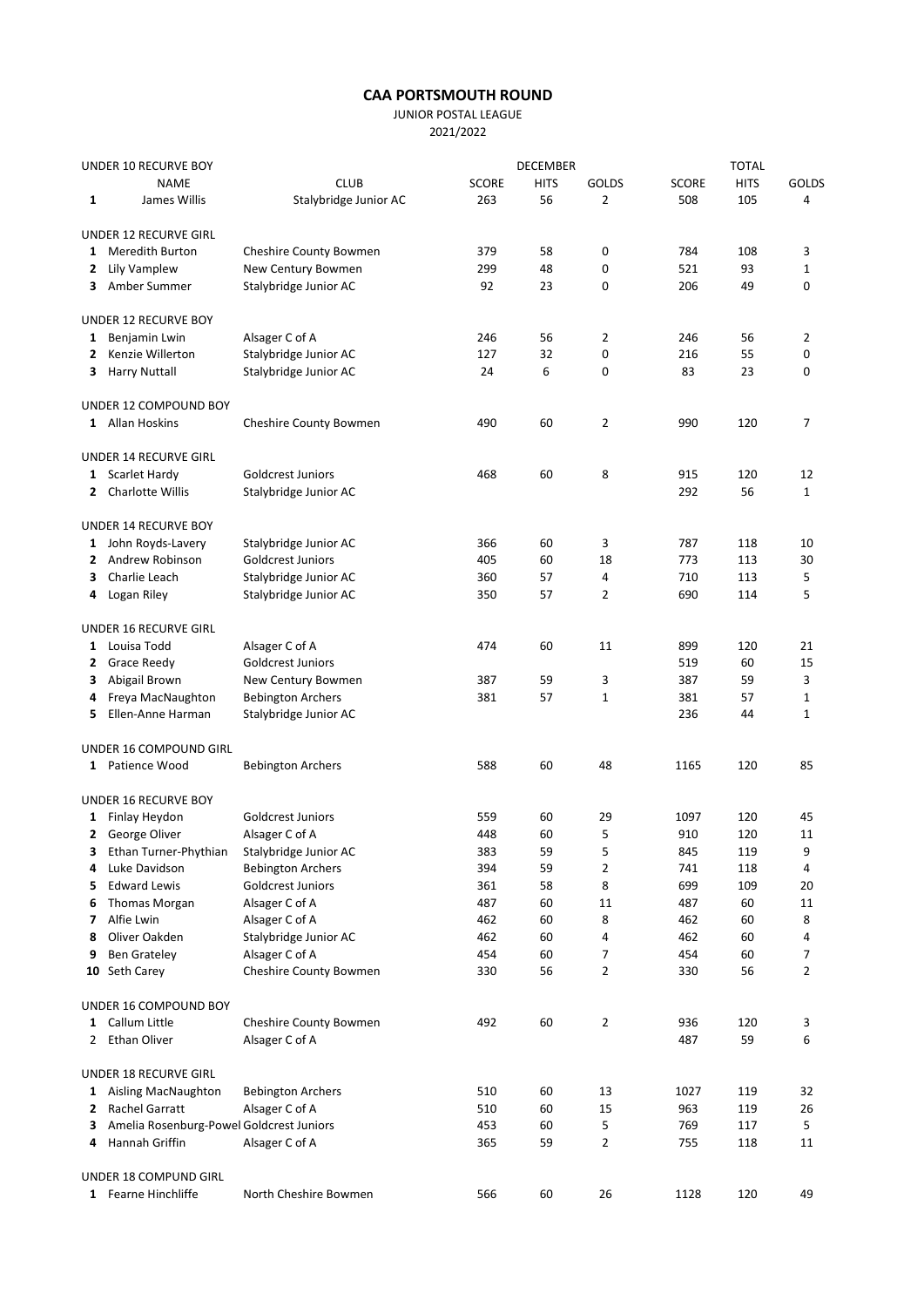## CAA PORTSMOUTH ROUND

JUNIOR POSTAL LEAGUE

2021/2022

| UNDER 10 RECURVE BOY |                                            |                          |              | <b>DECEMBER</b> | <b>TOTAL</b>   |              |             |              |
|----------------------|--------------------------------------------|--------------------------|--------------|-----------------|----------------|--------------|-------------|--------------|
|                      | <b>NAME</b>                                | <b>CLUB</b>              | <b>SCORE</b> | <b>HITS</b>     | <b>GOLDS</b>   | <b>SCORE</b> | <b>HITS</b> | <b>GOLDS</b> |
| 1                    | James Willis                               | Stalybridge Junior AC    | 263          | 56              | 2              | 508          | 105         | 4            |
|                      | UNDER 12 RECURVE GIRL                      |                          |              |                 |                |              |             |              |
| 1                    | <b>Meredith Burton</b>                     | Cheshire County Bowmen   | 379          | 58              | 0              | 784          | 108         | 3            |
|                      | 2 Lily Vamplew                             | New Century Bowmen       | 299          | 48              | 0              | 521          | 93          | 1            |
|                      | 3 Amber Summer                             | Stalybridge Junior AC    | 92           | 23              | 0              | 206          | 49          | 0            |
|                      |                                            |                          |              |                 |                |              |             |              |
|                      | <b>UNDER 12 RECURVE BOY</b>                |                          |              |                 |                |              |             |              |
| $\mathbf{1}$         | Benjamin Lwin                              | Alsager C of A           | 246          | 56              | 2              | 246          | 56          | 2            |
| 2                    | Kenzie Willerton                           | Stalybridge Junior AC    | 127          | 32              | 0              | 216          | 55          | 0            |
| 3                    | <b>Harry Nuttall</b>                       | Stalybridge Junior AC    | 24           | 6               | 0              | 83           | 23          | 0            |
|                      | UNDER 12 COMPOUND BOY                      |                          |              |                 |                |              |             |              |
|                      | 1 Allan Hoskins                            | Cheshire County Bowmen   | 490          | 60              | 2              | 990          | 120         | 7            |
|                      | UNDER 14 RECURVE GIRL                      |                          |              |                 |                |              |             |              |
| $\mathbf{1}$         | <b>Scarlet Hardy</b>                       | <b>Goldcrest Juniors</b> | 468          | 60              | 8              | 915          | 120         | 12           |
| 2                    | Charlotte Willis                           | Stalybridge Junior AC    |              |                 |                | 292          | 56          | $\mathbf{1}$ |
|                      | <b>UNDER 14 RECURVE BOY</b>                |                          |              |                 |                |              |             |              |
|                      | 1 John Royds-Lavery                        | Stalybridge Junior AC    | 366          | 60              | 3              | 787          | 118         | 10           |
| 2                    | Andrew Robinson                            | Goldcrest Juniors        | 405          | 60              | 18             | 773          | 113         | 30           |
|                      | Charlie Leach                              |                          | 360          | 57              |                | 710          |             |              |
| 3                    |                                            | Stalybridge Junior AC    |              |                 | 4              |              | 113         | 5            |
| 4                    | Logan Riley                                | Stalybridge Junior AC    | 350          | 57              | $\overline{2}$ | 690          | 114         | 5            |
|                      | UNDER 16 RECURVE GIRL                      |                          |              |                 |                |              |             |              |
|                      | 1 Louisa Todd                              | Alsager C of A           | 474          | 60              | 11             | 899          | 120         | 21           |
| 2                    | <b>Grace Reedy</b>                         | <b>Goldcrest Juniors</b> |              |                 |                | 519          | 60          | 15           |
| 3                    | Abigail Brown                              | New Century Bowmen       | 387          | 59              | 3              | 387          | 59          | 3            |
| 4                    | Freya MacNaughton                          | <b>Bebington Archers</b> | 381          | 57              | 1              | 381          | 57          | 1            |
| 5                    | Ellen-Anne Harman                          | Stalybridge Junior AC    |              |                 |                | 236          | 44          | $\mathbf 1$  |
|                      | UNDER 16 COMPOUND GIRL                     |                          |              |                 |                |              |             |              |
|                      | 1 Patience Wood                            | <b>Bebington Archers</b> | 588          | 60              | 48             | 1165         | 120         | 85           |
|                      |                                            |                          |              |                 |                |              |             |              |
|                      | UNDER 16 RECURVE BOY                       |                          |              |                 |                |              |             |              |
|                      | 1 Finlay Heydon                            | Goldcrest Juniors        | 559          | 60              | 29             | 1097         | 120         | 45           |
|                      | 2 George Oliver                            | Alsager C of A           | 448          | 60              | 5              | 910          | 120         | 11           |
| 3                    | Ethan Turner-Phythian                      | Stalybridge Junior AC    | 383          | 59              | 5              | 845          | 119         | 9            |
| 4                    | Luke Davidson                              | <b>Bebington Archers</b> | 394          | 59              | 2              | 741          | 118         | 4            |
| 5                    | <b>Edward Lewis</b>                        | Goldcrest Juniors        | 361          | 58              | 8              | 699          | 109         | 20           |
| 6                    | Thomas Morgan                              | Alsager C of A           | 487          | 60              | 11             | 487          | 60          | 11           |
| 7                    | Alfie Lwin                                 | Alsager C of A           | 462          | 60              | 8              | 462          | 60          | 8            |
| 8                    | Oliver Oakden                              | Stalybridge Junior AC    | 462          | 60              | 4              | 462          | 60          | 4            |
| 9                    | <b>Ben Grateley</b>                        | Alsager C of A           | 454          | 60              | 7              | 454          | 60          | 7            |
|                      | 10 Seth Carey                              | Cheshire County Bowmen   | 330          | 56              | 2              | 330          | 56          | 2            |
|                      | UNDER 16 COMPOUND BOY                      |                          |              |                 |                |              |             |              |
|                      | 1 Callum Little                            | Cheshire County Bowmen   | 492          | 60              | 2              | 936          | 120         | 3            |
|                      |                                            | Alsager C of A           |              |                 |                | 487          | 59          | 6            |
|                      | 2 Ethan Oliver                             |                          |              |                 |                |              |             |              |
|                      | UNDER 18 RECURVE GIRL                      |                          |              |                 |                |              |             |              |
|                      | 1 Aisling MacNaughton                      | <b>Bebington Archers</b> | 510          | 60              | 13             | 1027         | 119         | 32           |
|                      | 2 Rachel Garratt                           | Alsager C of A           | 510          | 60              | 15             | 963          | 119         | 26           |
|                      | 3 Amelia Rosenburg-Powel Goldcrest Juniors |                          | 453          | 60              | 5              | 769          | 117         | 5            |
|                      | 4 Hannah Griffin                           | Alsager C of A           | 365          | 59              | 2              | 755          | 118         | 11           |
|                      | UNDER 18 COMPUND GIRL                      |                          |              |                 |                |              |             |              |
|                      | 1 Fearne Hinchliffe                        | North Cheshire Bowmen    | 566          | 60              | 26             | 1128         | 120         | 49           |
|                      |                                            |                          |              |                 |                |              |             |              |